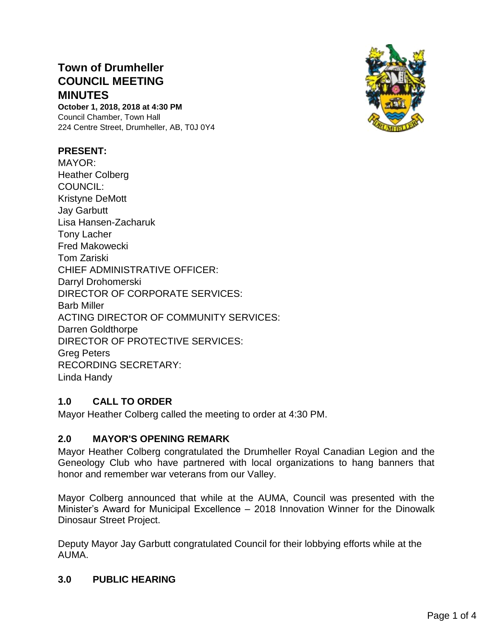# **Town of Drumheller COUNCIL MEETING MINUTES**

**October 1, 2018, 2018 at 4:30 PM** Council Chamber, Town Hall 224 Centre Street, Drumheller, AB, T0J 0Y4

## **PRESENT:**

MAYOR: Heather Colberg COUNCIL: Kristyne DeMott Jay Garbutt Lisa Hansen-Zacharuk Tony Lacher Fred Makowecki Tom Zariski CHIEF ADMINISTRATIVE OFFICER: Darryl Drohomerski DIRECTOR OF CORPORATE SERVICES: Barb Miller ACTING DIRECTOR OF COMMUNITY SERVICES: Darren Goldthorpe DIRECTOR OF PROTECTIVE SERVICES: Greg Peters RECORDING SECRETARY: Linda Handy

## **1.0 CALL TO ORDER**

Mayor Heather Colberg called the meeting to order at 4:30 PM.

## **2.0 MAYOR'S OPENING REMARK**

Mayor Heather Colberg congratulated the Drumheller Royal Canadian Legion and the Geneology Club who have partnered with local organizations to hang banners that honor and remember war veterans from our Valley.

Mayor Colberg announced that while at the AUMA, Council was presented with the Minister's Award for Municipal Excellence – 2018 Innovation Winner for the Dinowalk Dinosaur Street Project.

Deputy Mayor Jay Garbutt congratulated Council for their lobbying efforts while at the AUMA.

## **3.0 PUBLIC HEARING**

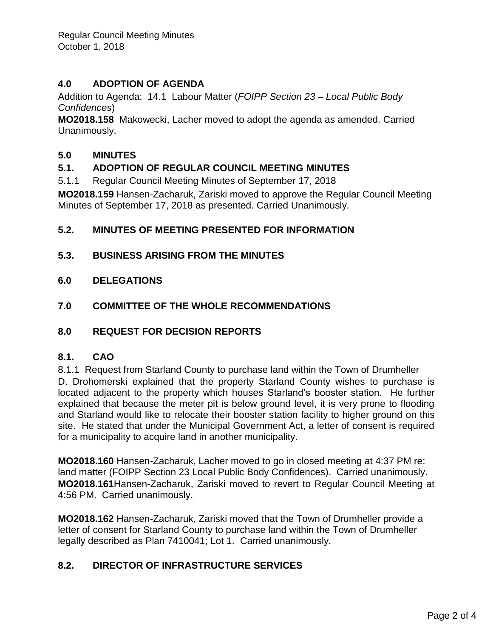Regular Council Meeting Minutes October 1, 2018

## **4.0 ADOPTION OF AGENDA**

Addition to Agenda: 14.1 Labour Matter (*FOIPP Section 23 – Local Public Body Confidences*)

**MO2018.158** Makowecki, Lacher moved to adopt the agenda as amended. Carried Unanimously.

## **5.0 MINUTES**

## **5.1. ADOPTION OF REGULAR COUNCIL MEETING MINUTES**

5.1.1 Regular Council Meeting Minutes of September 17, 2018

**MO2018.159** Hansen-Zacharuk, Zariski moved to approve the Regular Council Meeting Minutes of September 17, 2018 as presented. Carried Unanimously.

# **5.2. MINUTES OF MEETING PRESENTED FOR INFORMATION**

## **5.3. BUSINESS ARISING FROM THE MINUTES**

**6.0 DELEGATIONS**

## **7.0 COMMITTEE OF THE WHOLE RECOMMENDATIONS**

## **8.0 REQUEST FOR DECISION REPORTS**

## **8.1. CAO**

8.1.1 Request from Starland County to purchase land within the Town of Drumheller D. Drohomerski explained that the property Starland County wishes to purchase is located adjacent to the property which houses Starland's booster station. He further explained that because the meter pit is below ground level, it is very prone to flooding and Starland would like to relocate their booster station facility to higher ground on this site. He stated that under the Municipal Government Act, a letter of consent is required for a municipality to acquire land in another municipality.

**MO2018.160** Hansen-Zacharuk, Lacher moved to go in closed meeting at 4:37 PM re: land matter (FOIPP Section 23 Local Public Body Confidences). Carried unanimously. **MO2018.161**Hansen-Zacharuk, Zariski moved to revert to Regular Council Meeting at 4:56 PM. Carried unanimously.

**MO2018.162** Hansen-Zacharuk, Zariski moved that the Town of Drumheller provide a letter of consent for Starland County to purchase land within the Town of Drumheller legally described as Plan 7410041; Lot 1. Carried unanimously.

# **8.2. DIRECTOR OF INFRASTRUCTURE SERVICES**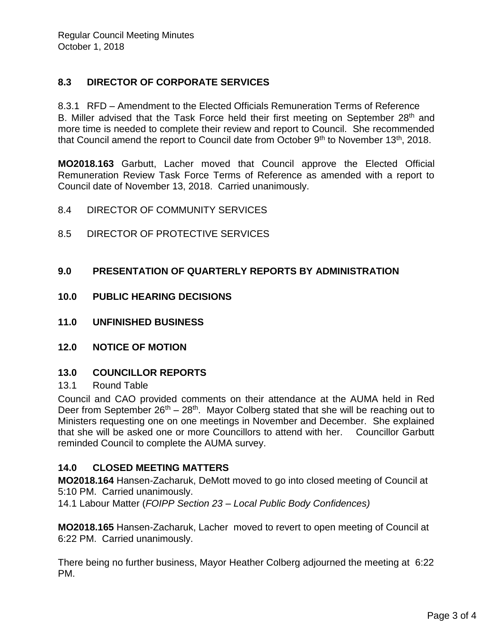# **8.3 DIRECTOR OF CORPORATE SERVICES**

8.3.1 RFD – Amendment to the Elected Officials Remuneration Terms of Reference B. Miller advised that the Task Force held their first meeting on September 28<sup>th</sup> and more time is needed to complete their review and report to Council. She recommended that Council amend the report to Council date from October  $9<sup>th</sup>$  to November 13<sup>th</sup>, 2018.

**MO2018.163** Garbutt, Lacher moved that Council approve the Elected Official Remuneration Review Task Force Terms of Reference as amended with a report to Council date of November 13, 2018. Carried unanimously.

- 8.4 DIRECTOR OF COMMUNITY SERVICES
- 8.5 DIRECTOR OF PROTECTIVE SERVICES

## **9.0 PRESENTATION OF QUARTERLY REPORTS BY ADMINISTRATION**

- **10.0 PUBLIC HEARING DECISIONS**
- **11.0 UNFINISHED BUSINESS**
- **12.0 NOTICE OF MOTION**

## **13.0 COUNCILLOR REPORTS**

## 13.1 Round Table

Council and CAO provided comments on their attendance at the AUMA held in Red Deer from September  $26<sup>th</sup> - 28<sup>th</sup>$ . Mayor Colberg stated that she will be reaching out to Ministers requesting one on one meetings in November and December. She explained that she will be asked one or more Councillors to attend with her. Councillor Garbutt reminded Council to complete the AUMA survey.

# **14.0 CLOSED MEETING MATTERS**

**MO2018.164** Hansen-Zacharuk, DeMott moved to go into closed meeting of Council at 5:10 PM. Carried unanimously.

14.1 Labour Matter (*FOIPP Section 23 – Local Public Body Confidences)*

**MO2018.165** Hansen-Zacharuk, Lacher moved to revert to open meeting of Council at 6:22 PM. Carried unanimously.

There being no further business, Mayor Heather Colberg adjourned the meeting at 6:22 PM.